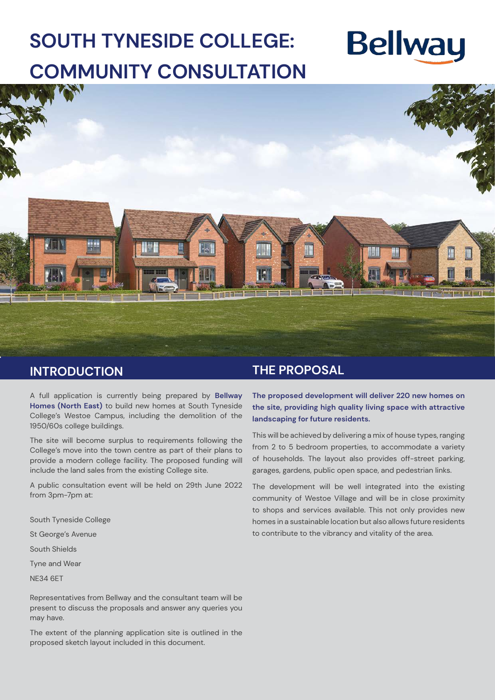## **SOUTH TYNESIDE COLLEGE: COMMUNITY CONSULTATION**

# **Bellway**



### **INTRODUCTION**

A full application is currently being prepared by **Bellway Homes (North East)** to build new homes at South Tyneside College's Westoe Campus, including the demolition of the 1950/60s college buildings.

The site will become surplus to requirements following the College's move into the town centre as part of their plans to provide a modern college facility. The proposed funding will include the land sales from the existing College site.

A public consultation event will be held on 29th June 2022 from 3pm-7pm at:

South Tyneside College

St George's Avenue

South Shields

Tyne and Wear

NE34 6ET

Representatives from Bellway and the consultant team will be present to discuss the proposals and answer any queries you may have.

The extent of the planning application site is outlined in the proposed sketch layout included in this document.

#### **THE PROPOSAL**

**The proposed development will deliver 220 new homes on the site, providing high quality living space with attractive landscaping for future residents.**

This will be achieved by delivering a mix of house types, ranging from 2 to 5 bedroom properties, to accommodate a variety of households. The layout also provides off-street parking, garages, gardens, public open space, and pedestrian links.

The development will be well integrated into the existing community of Westoe Village and will be in close proximity to shops and services available. This not only provides new homes in a sustainable location but also allows future residents to contribute to the vibrancy and vitality of the area.